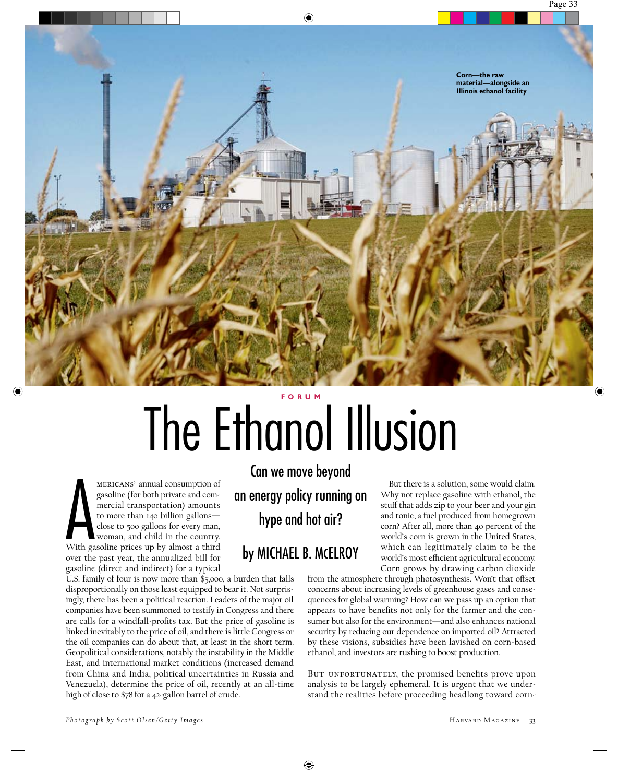

## The Ethanol Illusion **F O R U M**

MERICANS' annual consumption of<br>gasoline (for both private and com-<br>mercial transportation) amounts<br>to more than 140 billion gallons—<br>close to 500 gallons for every man,<br>woman, and child in the country.<br>With gasoline price mericans' annual consumption of gasoline (for both private and commercial transportation) amounts to more than 140 billion gallons close to 500 gallons for every man, woman, and child in the country. over the past year, the annualized bill for gasoline (direct and indirect) for a typical

U.S. family of four is now more than \$5,000, a burden that falls disproportionally on those least equipped to bear it. Not surprisingly, there has been a political reaction. Leaders of the major oil companies have been summoned to testify in Congress and there are calls for a windfall-profits tax. But the price of gasoline is linked inevitably to the price of oil, and there is little Congress or the oil companies can do about that, at least in the short term. Geopolitical considerations, notably the instability in the Middle East, and international market conditions (increased demand from China and India, political uncertainties in Russia and Venezuela), determine the price of oil, recently at an all-time high of close to \$78 for a 42-gallon barrel of crude.

Can we move beyond an energy policy running on hype and hot air?

## by MICHAEL B. MCELROY

But there is a solution, some would claim. Why not replace gasoline with ethanol, the stuff that adds zip to your beer and your gin and tonic, a fuel produced from homegrown corn? After all, more than 40 percent of the world's corn is grown in the United States, which can legitimately claim to be the world's most efficient agricultural economy. Corn grows by drawing carbon dioxide

from the atmosphere through photosynthesis. Won't that offset concerns about increasing levels of greenhouse gases and consequences for global warming? How can we pass up an option that appears to have benefits not only for the farmer and the consumer but also for the environment—and also enhances national security by reducing our dependence on imported oil? Attracted by these visions, subsidies have been lavished on corn-based ethanol, and investors are rushing to boost production.

BUT UNFORTUNATELY, the promised benefits prove upon analysis to be largely ephemeral. It is urgent that we understand the realities before proceeding headlong toward corn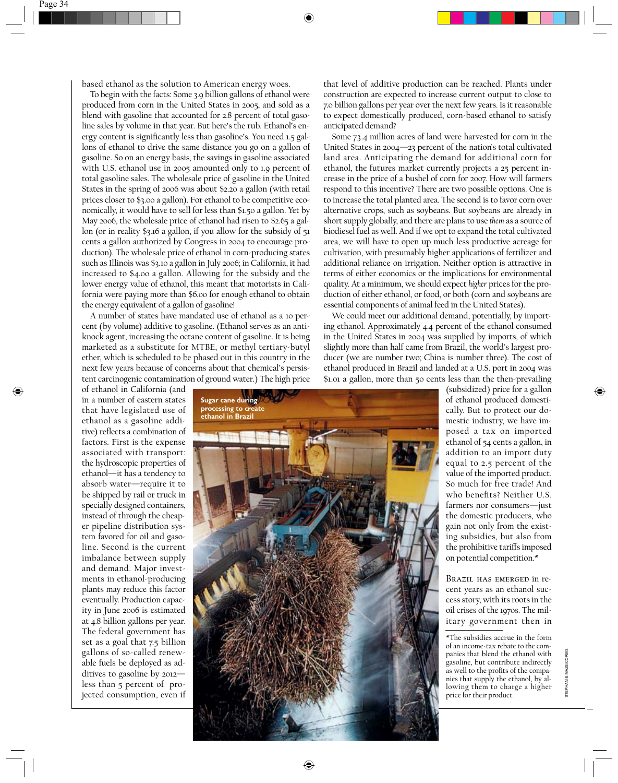based ethanol as the solution to American energy woes.

To begin with the facts: Some 3.9 billion gallons of ethanol were produced from corn in the United States in 2005, and sold as a blend with gasoline that accounted for 2.8 percent of total gasoline sales by volume in that year. But here's the rub. Ethanol's energy content is significantly less than gasoline's. You need 1.5 gallons of ethanol to drive the same distance you go on a gallon of gasoline. So on an energy basis, the savings in gasoline associated with U.S. ethanol use in 2005 amounted only to 1.9 percent of total gasoline sales. The wholesale price of gasoline in the United States in the spring of 2006 was about \$2.20 a gallon (with retail prices closer to \$3.00 a gallon). For ethanol to be competitive economically, it would have to sell for less than \$1.50 a gallon. Yet by May 2006, the wholesale price of ethanol had risen to \$2.65 a gallon (or in reality \$3.16 a gallon, if you allow for the subsidy of 51 cents a gallon authorized by Congress in 2004 to encourage production). The wholesale price of ethanol in corn-producing states such as Illinois was \$3.10 a gallon in July 2006; in California, it had increased to \$4.00 a gallon. Allowing for the subsidy and the lower energy value of ethanol, this meant that motorists in California were paying more than \$6.00 for enough ethanol to obtain the energy equivalent of a gallon of gasoline!

A number of states have mandated use of ethanol as a 10 percent (by volume) additive to gasoline. (Ethanol serves as an antiknock agent, increasing the octane content of gasoline. It is being marketed as a substitute for MTBE, or methyl tertiary-butyl ether, which is scheduled to be phased out in this country in the next few years because of concerns about that chemical's persistent carcinogenic contamination of ground water.) The high price

of ethanol in California (and in a number of eastern states that have legislated use of ethanol as a gasoline additive) reflects a combination of factors. First is the expense associated with transport: the hydroscopic properties of ethanol—it has a tendency to absorb water—require it to be shipped by rail or truck in specially designed containers, instead of through the cheaper pipeline distribution system favored for oil and gasoline. Second is the current imbalance between supply and demand. Major investments in ethanol-producing plants may reduce this factor eventually. Production capacity in June 2006 is estimated at 4.8 billion gallons per year. The federal government has set as a goal that 7.5 billion gallons of so-called renewable fuels be deployed as additives to gasoline by 2012 less than 5 percent of projected consumption, even if

that level of additive production can be reached. Plants under construction are expected to increase current output to close to 7.0 billion gallons per year over the next few years. Is it reasonable to expect domestically produced, corn-based ethanol to satisfy anticipated demand?

Some 73.4 million acres of land were harvested for corn in the United States in 2004—23 percent of the nation's total cultivated land area. Anticipating the demand for additional corn for ethanol, the futures market currently projects a 25 percent increase in the price of a bushel of corn for 2007. How will farmers respond to this incentive? There are two possible options. One is to increase the total planted area. The second is to favor corn over alternative crops, such as soybeans. But soybeans are already in short supply globally, and there are plans to use *them* as a source of biodiesel fuel as well. And if we opt to expand the total cultivated area, we will have to open up much less productive acreage for cultivation, with presumably higher applications of fertilizer and additional reliance on irrigation. Neither option is attractive in terms of either economics or the implications for environmental quality. At a minimum, we should expect *higher* prices for the production of either ethanol, or food, or both (corn and soybeans are essential components of animal feed in the United States).

We could meet our additional demand, potentially, by importing ethanol. Approximately 4.4 percent of the ethanol consumed in the United States in 2004 was supplied by imports, of which slightly more than half came from Brazil, the world's largest producer (we are number two; China is number three). The cost of ethanol produced in Brazil and landed at a U.S. port in 2004 was \$1.01 a gallon, more than 50 cents less than the then-prevailing



(subsidized) price for a gallon of ethanol produced domestically. But to protect our domestic industry, we have imposed a tax on imported ethanol of 54 cents a gallon, in addition to an import duty equal to 2.5 percent of the value of the imported product. So much for free trade! And who benefits? Neither U.S. farmers nor consumers—just the domestic producers, who gain not only from the existing subsidies, but also from the prohibitive tariffs imposed on potential competition.\*

Brazil has emerged in recent years as an ethanol success story, with its roots in the oil crises of the 1970s. The military government then in

\*The subsidies accrue in the form of an income-tax rebate to the companies that blend the ethanol with gasoline, but contribute indirectly as well to the profits of the companies that supply the ethanol, by allowing them to charge a higher price for their product.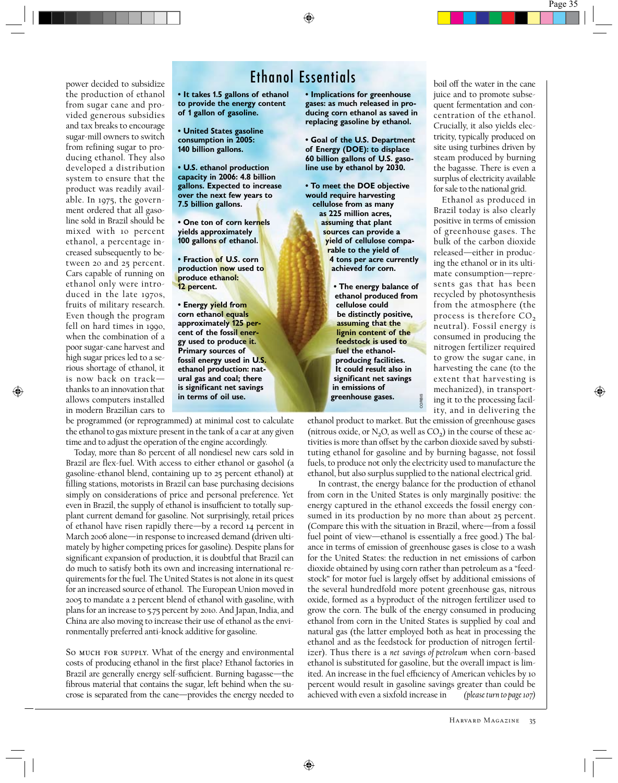## Ethanol Essentials

**• It takes 1.5 gallons of ethanol to provide the energy content of 1 gallon of gasoline.**

**• United States gasoline consumption in 2005: 140 billion gallons.**

power decided to subsidize the production of ethanol from sugar cane and provided generous subsidies and tax breaks to encourage sugar-mill owners to switch from refining sugar to producing ethanol. They also developed a distribution system to ensure that the product was readily available. In 1975, the government ordered that all gasoline sold in Brazil should be mixed with 10 percent ethanol, a percentage increased subsequently to between 20 and 25 percent. Cars capable of running on ethanol only were introduced in the late 1970s, fruits of military research. Even though the program fell on hard times in 1990, when the combination of a poor sugar-cane harvest and high sugar prices led to a serious shortage of ethanol, it is now back on track thanks to an innovation that allows computers installed in modern Brazilian cars to

**• U.S. ethanol production capacity in 2006: 4.8 billion gallons. Expected to increase over the next few years to 7.5 billion gallons.**

**• One ton of corn kernels yields approximately 100 gallons of ethanol.**

**• Fraction of U.S. corn production now used to produce ethanol: 12 percent.**

**• Energy yield from corn ethanol equals approximately 125 percent of the fossil energy used to produce it. Primary sources of fossil energy used in U.S. ethanol production: natural gas and coal; there is significant net savings in terms of oil use.**

be programmed (or reprogrammed) at minimal cost to calculate the ethanol to gas mixture present in the tank of a car at any given time and to adjust the operation of the engine accordingly.

Today, more than 80 percent of all nondiesel new cars sold in Brazil are flex-fuel. With access to either ethanol or gasohol (a gasoline-ethanol blend, containing up to 25 percent ethanol) at filling stations, motorists in Brazil can base purchasing decisions simply on considerations of price and personal preference. Yet even in Brazil, the supply of ethanol is insufficient to totally supplant current demand for gasoline. Not surprisingly, retail prices of ethanol have risen rapidly there—by a record 14 percent in March 2006 alone—in response to increased demand (driven ultimately by higher competing prices for gasoline). Despite plans for significant expansion of production, it is doubtful that Brazil can do much to satisfy both its own and increasing international requirements for the fuel. The United States is not alone in its quest for an increased source of ethanol. The European Union moved in 2005 to mandate a 2 percent blend of ethanol with gasoline, with plans for an increase to 5.75 percent by 2010. And Japan, India, and China are also moving to increase their use of ethanol as the environmentally preferred anti-knock additive for gasoline.

So MUCH FOR SUPPLY. What of the energy and environmental costs of producing ethanol in the first place? Ethanol factories in Brazil are generally energy self-sufficient. Burning bagasse—the fibrous material that contains the sugar, left behind when the sucrose is separated from the cane—provides the energy needed to **• Implications for greenhouse gases: as much released in producing corn ethanol as saved in replacing gasoline by ethanol.**

**• Goal of the U.S. Department of Energy (DOE): to displace 60 billion gallons of U.S. gasoline use by ethanol by 2030.**

**• To meet the DOE objective would require harvesting cellulose from as many as 225 million acres, assuming that plant sources can provide a yield of cellulose comparable to the yield of 4 tons per acre currently achieved for corn.**

> **• The energy balance of ethanol produced from cellulose could be distinctly positive, assuming that the lignin content of the feedstock is used to fuel the ethanolproducing facilities. It could result also in significant net savings in emissions of greenhouse gases.**

boil off the water in the cane juice and to promote subsequent fermentation and concentration of the ethanol. Crucially, it also yields electricity, typically produced on site using turbines driven by steam produced by burning the bagasse. There is even a surplus of electricity available for sale to the national grid.

Ethanol as produced in Brazil today is also clearly positive in terms of emission of greenhouse gases. The bulk of the carbon dioxide released—either in producing the ethanol or in its ultimate consumption—represents gas that has been recycled by photosynthesis from the atmosphere (the process is therefore  $CO<sub>2</sub>$ neutral). Fossil energy *is* consumed in producing the nitrogen fertilizer required to grow the sugar cane, in harvesting the cane (to the extent that harvesting is mechanized), in transporting it to the processing facility, and in delivering the

ethanol product to market. But the emission of greenhouse gases (nitrous oxide, or N<sub>2</sub>O, as well as  $CO<sub>2</sub>$ ) in the course of these activities is more than offset by the carbon dioxide saved by substituting ethanol for gasoline and by burning bagasse, not fossil fuels, to produce not only the electricity used to manufacture the ethanol, but also surplus supplied to the national electrical grid.

CORBIS

In contrast, the energy balance for the production of ethanol from corn in the United States is only marginally positive: the energy captured in the ethanol exceeds the fossil energy consumed in its production by no more than about 25 percent. (Compare this with the situation in Brazil, where—from a fossil fuel point of view—ethanol is essentially a free good.) The balance in terms of emission of greenhouse gases is close to a wash for the United States: the reduction in net emissions of carbon dioxide obtained by using corn rather than petroleum as a "feedstock" for motor fuel is largely offset by additional emissions of the several hundredfold more potent greenhouse gas, nitrous oxide, formed as a byproduct of the nitrogen fertilizer used to grow the corn. The bulk of the energy consumed in producing ethanol from corn in the United States is supplied by coal and natural gas (the latter employed both as heat in processing the ethanol and as the feedstock for production of nitrogen fertilizer). Thus there is a *net savings of petroleum* when corn-based ethanol is substituted for gasoline, but the overall impact is limited. An increase in the fuel efficiency of American vehicles by 10 percent would result in gasoline savings greater than could be achieved with even a sixfold increase in *(please turn to page 107)*